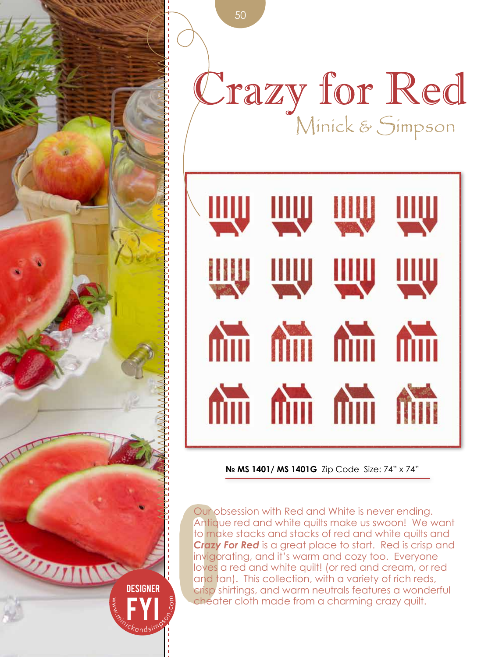

Crazy for Red



**№ MS 1401/ MS 1401G** Zip Code Size: 74" x 74"

Our ok<br>
Antiqu<br>
to mak<br>
Crazy<br>
invigor<br>
loves c<br>
and to<br>
crisp sk<br>
cheat Our obsession with Red and White is never ending. Antique red and white quilts make us swoon! We want to make stacks and stacks of red and white quilts and *Crazy For Red* is a great place to start. Red is crisp and invigorating, and it's warm and cozy too. Everyone loves a red and white quilt! (or red and cream, or red and tan). This collection, with a variety of rich reds, crisp shirtings, and warm neutrals features a wonderful cheater cloth made from a charming crazy quilt.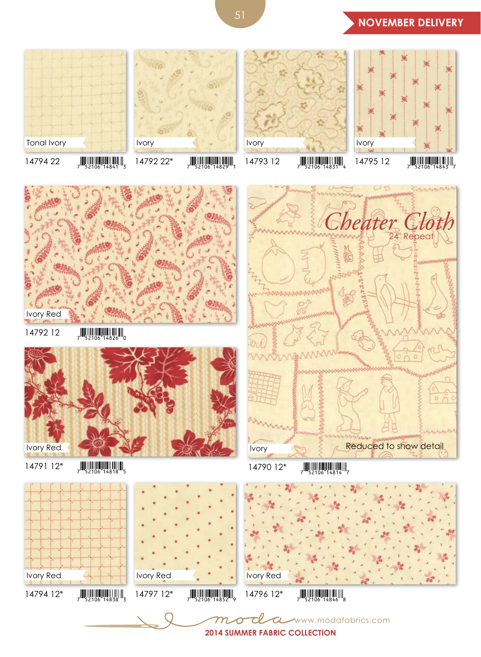

Ivory

 $1479422$   $7\frac{1}{52106}$   $14841$ 

Tonal Ivory

 $14792$  22\*  $\frac{1}{7}$   $\frac{1}{52106}$  14829



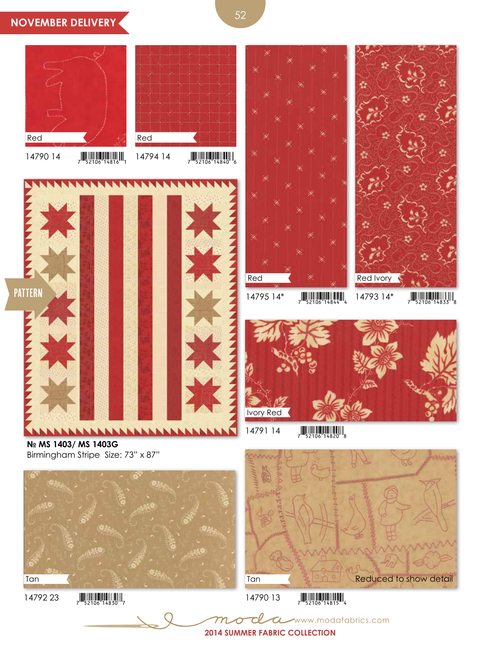## **NOVEMBER DELIVERY**



14790 14  $\frac{1}{7}$   $\frac{1}{52106}$  14816



 $14794$  14  $\frac{1}{7}$   $\frac{1}{52106}$   $\frac{1}{14840}$   $\frac{1}{6}$ 







 $14795$   $14^*$   $7^*$   $7^{*}$   $52106^{*}$   $14844^{*}$ 

14793 14\*  $\frac{1}{7}$   $\frac{1}{52106}$  14833



**№ MS 1403/ MS 1403G**  Birmingham Stripe Size: 73" x 87"



 $1479223$   $7$   $52106$   $14830$ 



www.modafabrics.com

 $14790$  13  $\frac{1}{7}$   $\frac{1}{52106}$   $\frac{1}{4815}$ 

 $1479114$   $\frac{1}{7}$   $\frac{1}{52106}$   $\frac{1}{4820}$   $\frac{1}{8}$ 

**2014 Summer Fabric collection**

 $\tau$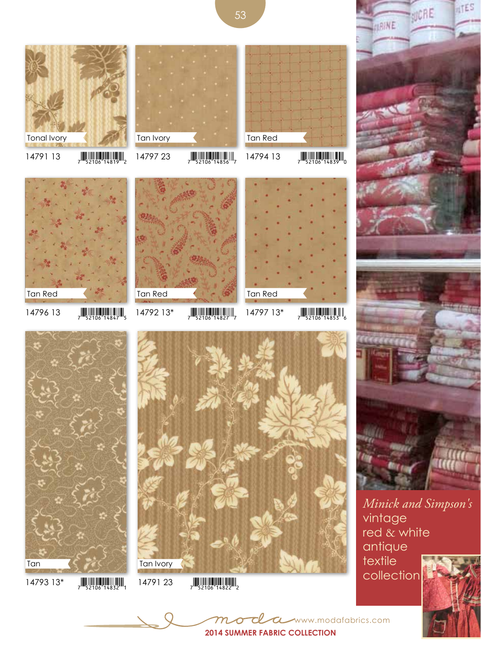



red & white antique textile

www.modafabrics.com



**ATES** 

VICRE



Tan Ivory

14793 13\*  $\frac{1}{7}$   $\frac{1}{52106}$  14832

Tan

Tonal Ivory

- 
- -
	-

**2014 Summer Fabric collection**

 $\mathcal{L}$ 

53

Tan Red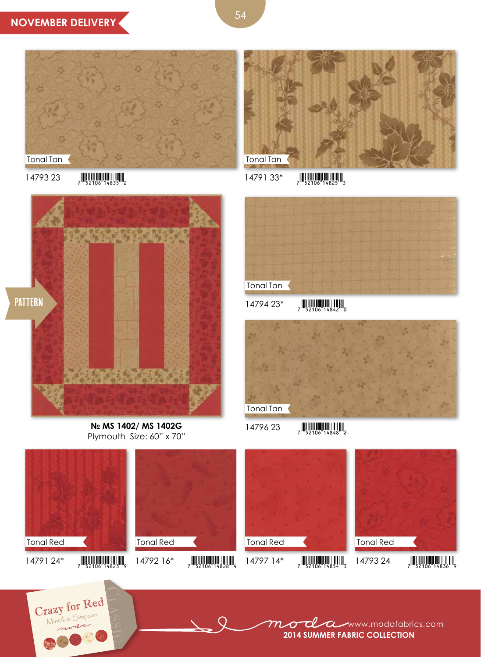

14793 23  $\frac{1}{7}$   $\frac{1}{52106}$   $\frac{1}{14835}$   $\frac{1}{2}$ 

Crazy for Red



14791 33\*  $\frac{1}{7}$   $\frac{1}{52106}$  14825



**№ MS 1402/ MS 1402G**  Plymouth Size: 60" x 70"



 $14794 23$   $\frac{11}{2}$ 



 $1479623$   $\frac{1}{2}$   $\frac{1}{2}$   $\frac{1}{2}$   $\frac{1}{2}$   $\frac{1}{2}$   $\frac{1}{2}$   $\frac{1}{2}$   $\frac{1}{2}$   $\frac{1}{2}$   $\frac{1}{2}$   $\frac{1}{2}$   $\frac{1}{2}$   $\frac{1}{2}$   $\frac{1}{2}$   $\frac{1}{2}$   $\frac{1}{2}$   $\frac{1}{2}$   $\frac{1}{2}$   $\frac{1}{2}$   $\frac{1}{2}$   $\frac{1}{2}$ 

 $1479124*$   $\frac{1}{7}$   $\frac{1}{52106}$   $\frac{1}{14823}$   $\frac{1}{9}$ Tonal Red 14792 16\*  $\frac{1}{7}$   $\frac{1}{52106}$  14828 Tonal Red 14793 24  $\frac{1}{7}$   $\frac{1}{52106}$  14836 $\frac{1}{9}$ Tonal Red 14797 14\*  $\frac{1}{7}$   $\frac{1}{52106}$  14854 Tonal Red

> mode a www.modafabrics.com **2014 Summer Fabric collection**